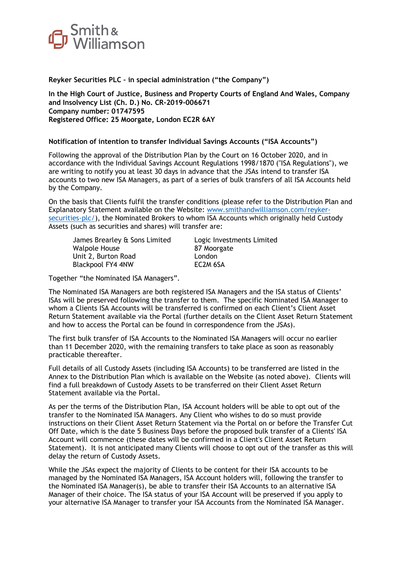

**Reyker Securities PLC – in special administration ("the Company")**

**In the High Court of Justice, Business and Property Courts of England And Wales, Company and Insolvency List (Ch. D.) No. CR-2019-006671 Company number: 01747595 Registered Office: 25 Moorgate, London EC2R 6AY**

## **Notification of intention to transfer Individual Savings Accounts ("ISA Accounts")**

Following the approval of the Distribution Plan by the Court on 16 October 2020, and in accordance with the Individual Savings Account Regulations 1998/1870 ("ISA Regulations"), we are writing to notify you at least 30 days in advance that the JSAs intend to transfer ISA accounts to two new ISA Managers, as part of a series of bulk transfers of all ISA Accounts held by the Company.

On the basis that Clients fulfil the transfer conditions (please refer to the Distribution Plan and Explanatory Statement available on the Website: [www.smithandwilliamson.com/reyker](http://www.smithandwilliamson.com/reyker-securities-plc/)[securities-plc/\)](http://www.smithandwilliamson.com/reyker-securities-plc/), the Nominated Brokers to whom ISA Accounts which originally held Custody Assets (such as securities and shares) will transfer are:

James Brearley & Sons Limited Logic Investments Limited Walpole House 87 Moorgate Unit 2, Burton Road London Blackpool FY4 4NW EC2M 6SA

Together "the Nominated ISA Managers".

The Nominated ISA Managers are both registered ISA Managers and the ISA status of Clients' ISAs will be preserved following the transfer to them. The specific Nominated ISA Manager to whom a Clients ISA Accounts will be transferred is confirmed on each Client's Client Asset Return Statement available via the Portal (further details on the Client Asset Return Statement and how to access the Portal can be found in correspondence from the JSAs).

The first bulk transfer of ISA Accounts to the Nominated ISA Managers will occur no earlier than 11 December 2020, with the remaining transfers to take place as soon as reasonably practicable thereafter.

Full details of all Custody Assets (including ISA Accounts) to be transferred are listed in the Annex to the Distribution Plan which is available on the Website (as noted above). Clients will find a full breakdown of Custody Assets to be transferred on their Client Asset Return Statement available via the Portal.

As per the terms of the Distribution Plan, ISA Account holders will be able to opt out of the transfer to the Nominated ISA Managers. Any Client who wishes to do so must provide instructions on their Client Asset Return Statement via the Portal on or before the Transfer Cut Off Date, which is the date 5 Business Days before the proposed bulk transfer of a Clients' ISA Account will commence (these dates will be confirmed in a Client's Client Asset Return Statement). It is not anticipated many Clients will choose to opt out of the transfer as this will delay the return of Custody Assets.

While the JSAs expect the majority of Clients to be content for their ISA accounts to be managed by the Nominated ISA Managers, ISA Account holders will, following the transfer to the Nominated ISA Manager(s), be able to transfer their ISA Accounts to an alternative ISA Manager of their choice. The ISA status of your ISA Account will be preserved if you apply to your alternative ISA Manager to transfer your ISA Accounts from the Nominated ISA Manager.